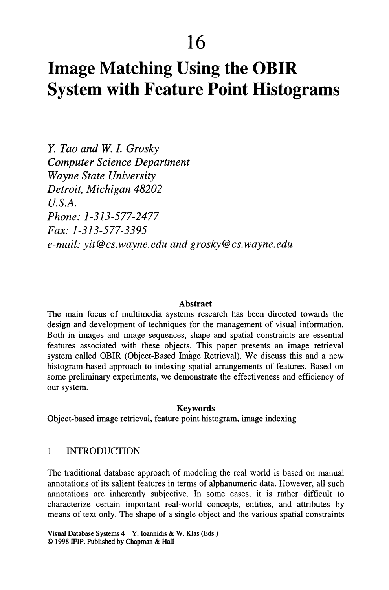# **Image Matching Using the OBIR System with Feature Point Histograms**

*Y. Tao and W. l. Grosky Computer Science Department Wayne State University Detroit, Michigan 48202 U.S.A. Phone: 1-313-577-2477 Fax: 1-313-577-3395 e-mail: yit@cs.wayne.edu and grosky@cs.wayne.edu* 

#### Abstract

The main focus of multimedia systems research has been directed towards the design and development of techniques for the management of visual information. Both in images and image sequences, shape and spatial constraints are essential features associated with these objects. This paper presents an image retrieval system called OBIR (Object-Based Image Retrieval). We discuss this and a new histogram-based approach to indexing spatial arrangements of features. Based on some preliminary experiments, we demonstrate the effectiveness and efficiency of our system.

#### Keywords

Object-based image retrieval, feature point histogram, image indexing

#### 1 INTRODUCTION

The traditional database approach of modeling the real world is based on manual annotations of its salient features in terms of alphanumeric data. However, all such annotations are inherently subjective. In some cases, it is rather difficult to characterize certain important real-world concepts, entities, and attributes by means of text only. The shape of a single object and the various spatial constraints

Visual Database Systems 4 Y. Ioannidis & W. Klas (Eds.) @ 19981FIP. Published by Chapman & Hall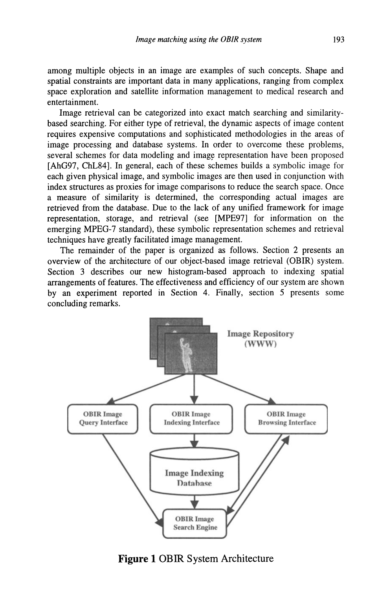among multiple objects in an image are examples of such concepts. Shape and spatial constraints are important data in many applications, ranging from complex space exploration and satellite information management to medical research and entertainment.

Image retrieval can be categorized into exact match searching and similaritybased searching. For either type of retrieval, the dynamic aspects of image content requires expensive computations and sophisticated methodologies in the areas of image processing and database systems. In order to overcome these problems, several schemes for data modeling and image representation have been proposed [AhG97, ChL84]. In general, each of these schemes builds a symbolic image for each given physical image, and symbolic images are then used in conjunction with index structures as proxies for image comparisons to reduce the search space. Once a measure of similarity is determined, the corresponding actual images are retrieved from the database. Due to the lack of any unified framework for image representation, storage, and retrieval (see [MPE97] for information on the emerging MPEG-7 standard), these symbolic representation schemes and retrieval techniques have greatly facilitated image management.

The remainder of the paper is organized as follows. Section 2 presents an overview of the architecture of our object-based image retrieval (OBIR) system. Section 3 describes our new histogram-based approach to indexing spatial arrangements of features. The effectiveness and efficiency of our system are shown by an experiment reported in Section 4. Finally, section 5 presents some concluding remarks.



**Figure 1** OBIR System Architecture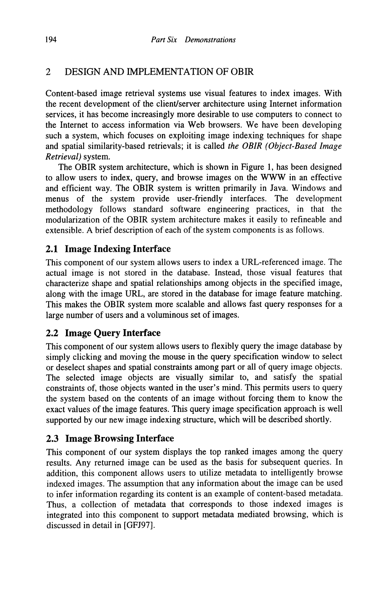## 2 DESIGN AND IMPLEMENTATION OF OBIR

Content-based image retrieval systems use visual features to index images. With the recent development of the client/server architecture using Internet information services, it has become increasingly more desirable to use computers to connect to the Internet to access information via Web browsers. We have been developing such a system, which focuses on exploiting image indexing techniques for shape and spatial similarity-based retrievals; it is called *the OBIR (Object-Based Image Retrieval)* system.

The OBIR system architecture, which is shown in Figure 1, has been designed to allow users to index, query, and browse images on the WWW in an effective and efficient way. The OBIR system is written primarily in Java. Windows and menus of the system provide user-friendly interfaces. The development methodology follows standard software engineering practices, in that the modularization of the OBIR system architecture makes it easily to refineable and extensible. A brief description of each of the system components is as follows.

## **2.1 Image Indexing Interface**

This component of our system allows users to index a URL-referenced image. The actual image is not stored in the database. Instead, those visual features that characterize shape and spatial relationships among objects in the specified image, along with the image URL, are stored in the database for image feature matching. This makes the OBIR system more scalable and allows fast query responses for a large number of users and a voluminous set of images.

## **2.2 Image Query Interface**

This component of our system allows users to flexibly query the image database by simply clicking and moving the mouse in the query specification window to select or deselect shapes and spatial constraints among part or all of query image objects. The selected image objects are visually similar to, and satisfy the spatial constraints of, those objects wanted in the user's mind. This permits users to query the system based on the contents of an image without forcing them to know the exact values of the image features. This query image specification approach is well supported by our new image indexing structure, which will be described shortly.

# **2.3 Image Browsing Interface**

This component of our system displays the top ranked images among the query results. Any returned image can be used as the basis for subsequent queries. In addition, this component allows users to utilize metadata to intelligently browse indexed images. The assumption that any information about the image can be used to infer information regarding its content is an example of content-based metadata. Thus, a collection of metadata that corresponds to those indexed images is integrated into this component to support metadata mediated browsing, which is discussed in detail in [GFJ97].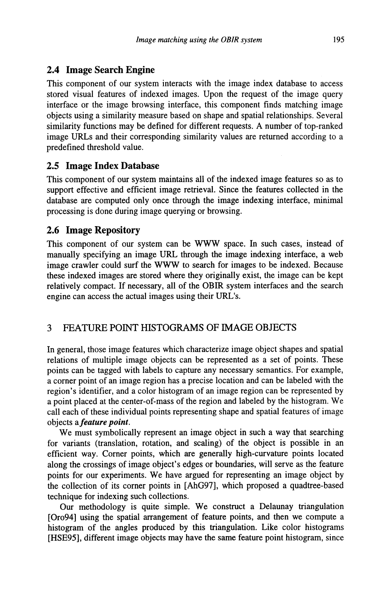# **2.4 Image Search Engine**

This component of our system interacts with the image index database to access stored visual features of indexed images. Upon the request of the image query interface or the image browsing interface, this component finds matching image objects using a similarity measure based on shape and spatial relationships. Several similarity functions may be defined for different requests. A number of top-ranked image URLs and their corresponding similarity values are returned according to a predefined threshold value.

# **2.5 Image Index Database**

This component of our system maintains all of the indexed image features so as to support effective and efficient image retrieval. Since the features collected in the database are computed only once through the image indexing interface, minimal processing is done during image querying or browsing.

# **2.6 Image Repository**

This component of our system can be WWW space. In such cases, instead of manually specifying an image URL through the image indexing interface, a web image crawler could surf the WWW to search for images to be indexed. Because these indexed images are stored where they originally exist, the image can be kept relatively compact. If necessary, all of the OBIR system interfaces and the search engine can access the actual images using their URL's.

# 3 FEATURE POINT HISTOGRAMS OF IMAGE OBJECTS

In general, those image features which characterize image object shapes and spatial relations of multiple image objects can be represented as a set of points. These points can be tagged with labels to capture any necessary semantics. For example, a corner point of an image region has a precise location and can be labeled with the region's identifier, and a color histogram of an image region can be represented by a point placed at the center-of-mass of the region and labeled by the histogram. We call each of these individual points representing shape and spatial features of image objects *afeature point.* 

We must symbolically represent an image object in such a way that searching for variants (translation, rotation, and scaling) of the object is possible in an efficient way. Corner points, which are generally high-curvature points located along the crossings of image object's edges or boundaries, will serve as the feature points for our experiments. We have argued for representing an image object by the collection of its corner points in [AhG97], which proposed a quadtree-based technique for indexing such collections.

Our methodology is quite simple. We construct a Delaunay triangulation [Or094] using the spatial arrangement of feature points, and then we compute a histogram of the angles produced by this triangulation. Like color histograms [HSE95], different image objects may have the same feature point histogram, since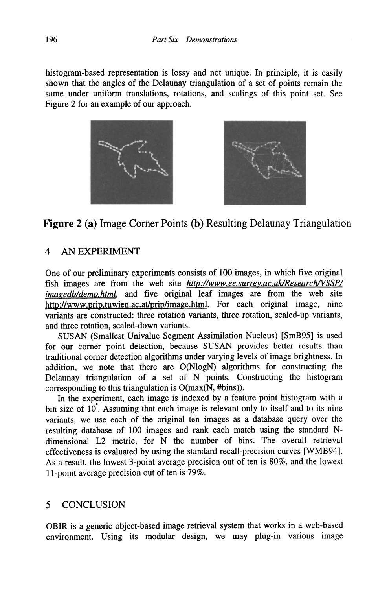histogram-based representation is lossy and not unique. In principle, it is easily shown that the angles of the Delaunay triangulation of a set of points remain the same under uniform translations, rotations, and scalings of this point set. See Figure 2 for an example of our approach.





**Figure 2** (a) Image Corner Points (b) Resulting Delaunay Triangulation

### 4 AN EXPERIMENT

One of our preliminary experiments consists of 100 images, in which five original fish images are from the web site *http://www.ee.surrey.ac.uk/Research/VSSP/ imagedb/demo.html,* and five original leaf images are from the web site http://www.prip.tuwien.ac.at/prip/image.html. For each original image, nine variants are constructed: three rotation variants, three rotation, scaled-up variants, and three rotation, scaled-down variants.

SUSAN (Smallest Univalue Segment Assimilation Nucleus) [SmB95] is used for our corner point detection, because SUSAN provides better results than traditional corner detection algorithms under varying levels of image brightness. In addition, we note that there are O(NlogN) algorithms for constructing the Delaunay triangulation of a set of N points. Constructing the histogram corresponding to this triangulation is O(max(N, #bins)).

In the experiment, each image is indexed by a feature point histogram with a bin size of 10°. Assuming that each image is relevant only to itself and to its nine variants, we use each of the original ten images as a database query over the resulting database of 100 images and rank each match using the standard Ndimensional L2 metric, for N the number of bins. The overall retrieval effectiveness is evaluated by using the standard recall-precision curves [WMB94]. As a result, the lowest 3-point average precision out of ten is 80%, and the lowest II-point average precision out of ten is 79%.

## 5 CONCLUSION

OBIR is a generic object-based image retrieval system that works in a web-based environment. Using its modular design, we may plug-in various image